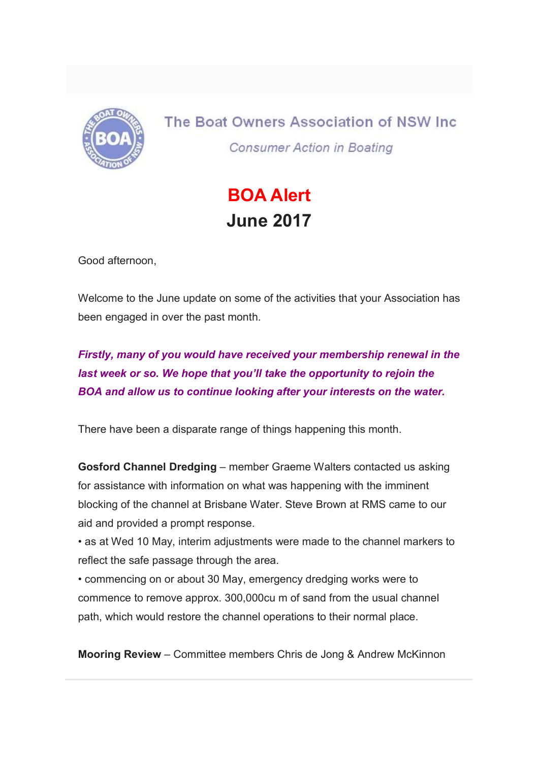

The Boat Owners Association of NSW Inc. **Consumer Action in Boating** 

## BOA Alert June 2017

Good afternoon,

Welcome to the June update on some of the activities that your Association has been engaged in over the past month.

Firstly, many of you would have received your membership renewal in the last week or so. We hope that you'll take the opportunity to rejoin the BOA and allow us to continue looking after your interests on the water.

There have been a disparate range of things happening this month.

Gosford Channel Dredging – member Graeme Walters contacted us asking for assistance with information on what was happening with the imminent blocking of the channel at Brisbane Water. Steve Brown at RMS came to our aid and provided a prompt response.

• as at Wed 10 May, interim adjustments were made to the channel markers to reflect the safe passage through the area.

• commencing on or about 30 May, emergency dredging works were to commence to remove approx. 300,000cu m of sand from the usual channel path, which would restore the channel operations to their normal place.

Mooring Review – Committee members Chris de Jong & Andrew McKinnon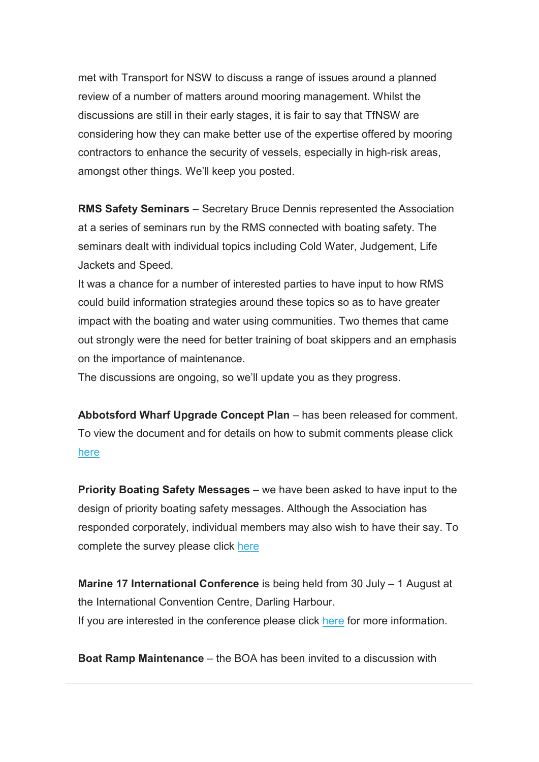met with Transport for NSW to discuss a range of issues around a planned review of a number of matters around mooring management. Whilst the discussions are still in their early stages, it is fair to say that TfNSW are considering how they can make better use of the expertise offered by mooring contractors to enhance the security of vessels, especially in high-risk areas, amongst other things. We'll keep you posted.

RMS Safety Seminars – Secretary Bruce Dennis represented the Association at a series of seminars run by the RMS connected with boating safety. The seminars dealt with individual topics including Cold Water, Judgement, Life Jackets and Speed.

It was a chance for a number of interested parties to have input to how RMS could build information strategies around these topics so as to have greater impact with the boating and water using communities. Two themes that came out strongly were the need for better training of boat skippers and an emphasis on the importance of maintenance.

The discussions are ongoing, so we'll update you as they progress.

Abbotsford Wharf Upgrade Concept Plan – has been released for comment. To view the document and for details on how to submit comments please click here

Priority Boating Safety Messages – we have been asked to have input to the design of priority boating safety messages. Although the Association has responded corporately, individual members may also wish to have their say. To complete the survey please click here

Marine 17 International Conference is being held from 30 July – 1 August at the International Convention Centre, Darling Harbour. If you are interested in the conference please click here for more information.

Boat Ramp Maintenance – the BOA has been invited to a discussion with